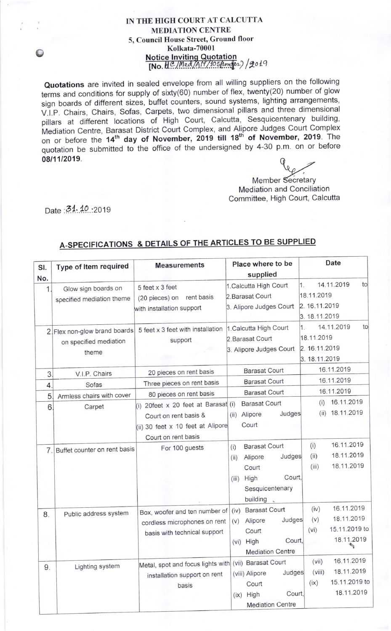## IN THE HIGH COURT AT CALCUTTA MEDIATION CENTRE 5, Council House Street, Ground floor Kolkata-70001 Notice Inviting Quotation [No. H.C./Med/AN/105/tender)/2019

Quotations are invited in sealed envelope from all willing suppliers on the following terms and conditions for supply of sixty(60) number of flex, twenty(2o) number of glow sign boards of different sizes, buffet counters, sound systems, lighting arrangements, V.I.P. Chairs, Chairs, Sofas, Carpets, two dimensional pillars and three dimensional pillars at different locations of High court, calcutta, sesquicentenary building, Mediation Centre, Barasat District Court Complex, and Alipore Judges Court Complex<br>on or before the 14<sup>th</sup> day of November, 2019 till 18<sup>th</sup> of November, 2019. The on or before the  $14^{\text{th}}$  day of November, 2019 till 18<sup>th</sup> of November, 2019. The quotation be submitted to the office of the undersigned by 4-30 p.m. on or before  $08/11/2019.$ 

Member Secretary Mediation and Conciliation Committee, High Court, Calcutta

Date .31.10 .2019

o

## A-SPECIFICATIONS & DETAILS OF THE ARTICLES TO BE SUPPLIED

| SI.            | Type of Item required         | <b>Measurements</b>                                   | Place where to be                          | Date                                 |
|----------------|-------------------------------|-------------------------------------------------------|--------------------------------------------|--------------------------------------|
| No.            |                               |                                                       | supplied                                   |                                      |
| 1.             | Glow sign boards on           | 5 feet x 3 feet                                       | 1. Calcutta High Court<br>2. Barasat Court | 14.11.2019<br>to<br>1.<br>18.11.2019 |
|                | specified mediation theme     | rent basis<br>(20 pieces) on                          | 3. Alipore Judges Court                    | 2. 16.11.2019                        |
|                |                               | with installation support                             |                                            | 3. 18.11.2019                        |
|                | 2. Flex non-glow brand boards | 5 feet x 3 feet with installation                     | 1. Calcutta High Court                     | 14.11.2019<br>to<br>1.               |
|                | on specified mediation        | support                                               | 2. Barasat Court                           | 18.11.2019                           |
|                | theme                         |                                                       | 3. Alipore Judges Court                    | 2. 16.11.2019                        |
|                |                               |                                                       |                                            | 3. 18.11.2019                        |
| 3              | V.I.P. Chairs                 | 20 pieces on rent basis                               | <b>Barasat Court</b>                       | 16.11.2019                           |
| $\overline{4}$ | Sofas                         | Three pieces on rent basis                            | <b>Barasat Court</b>                       | 16.11.2019                           |
| 5              | Armless chairs with cover     | 80 pieces on rent basis                               | <b>Barasat Court</b>                       | 16.11.2019                           |
| 6              | Carpet                        | (i) 20feet x 20 feet at Barasat (i)                   | <b>Barasat Court</b>                       | 16.11.2019<br>(i)                    |
|                |                               | Court on rent basis &                                 | Judges<br>Alipore<br>(ii)                  | 18.11.2019<br>(ii)                   |
|                |                               | (ii) 30 feet x 10 feet at Alipore                     | Court                                      |                                      |
|                |                               | Court on rent basis                                   |                                            |                                      |
| 7.             | Buffet counter on rent basis  | For 100 guests                                        | <b>Barasat Court</b><br>(i)                | 16.11.2019<br>(i)                    |
|                |                               |                                                       | Judges<br>Alipore<br>(ii)                  | 18.11.2019<br>(ii)                   |
|                |                               |                                                       | Court                                      | 18.11.2019<br>(iii)                  |
|                |                               |                                                       | Court,<br>High<br>(iii)                    |                                      |
|                |                               |                                                       | Sesquicentenary                            |                                      |
|                |                               |                                                       | building                                   |                                      |
| 8.             | Public address system         | Box, woofer and ten number of                         | <b>Barasat Court</b><br>(iv)               | 16.11.2019<br>(iv)                   |
|                |                               | cordless microphones on rent                          | Judges<br>Alipore<br>(v)                   | 18.11.2019<br>(v)                    |
|                |                               | basis with technical support                          | Court                                      | 15.11.2019 to<br>(vi)                |
|                |                               |                                                       | Court,<br>(vi) High                        | 18.11.2019<br>气                      |
|                |                               |                                                       | <b>Mediation Centre</b>                    |                                      |
| 9.             | Lighting system               | Metal, spot and focus lights with (vii) Barasat Court |                                            | 16.11.2019<br>(vii)                  |
|                |                               | installation support on rent                          | Judges<br>(viii) Alipore                   | 18.11.2019<br>(viii)                 |
|                |                               | basis                                                 | Court                                      | 15.11.2019 to<br>(ix)                |
|                |                               |                                                       | Court,<br>(ix) High                        | 18.11.2019                           |
|                |                               |                                                       | <b>Mediation Centre</b>                    |                                      |